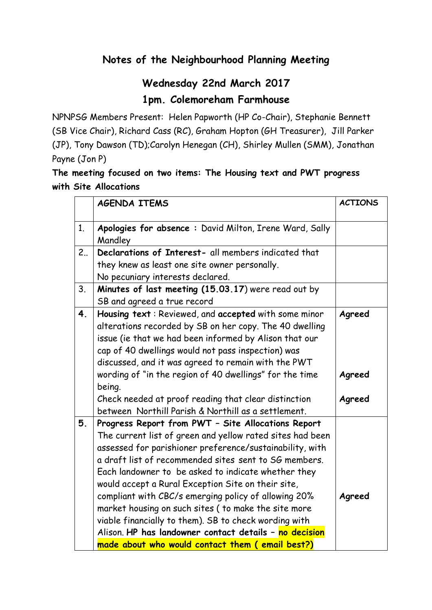## **Notes of the Neighbourhood Planning Meeting**

## **Wednesday 22nd March 2017 1pm. Colemoreham Farmhouse**

NPNPSG Members Present: Helen Papworth (HP Co-Chair), Stephanie Bennett (SB Vice Chair), Richard Cass (RC), Graham Hopton (GH Treasurer), Jill Parker (JP), Tony Dawson (TD);Carolyn Henegan (CH), Shirley Mullen (SMM), Jonathan Payne (Jon P)

## **The meeting focused on two items: The Housing text and PWT progress with Site Allocations**

|                | <b>AGENDA ITEMS</b>                                                                                                                                                                                                                                                                                                                                                                                                                                                                                                                                                                                                                                                                           | <b>ACTIONS</b>             |
|----------------|-----------------------------------------------------------------------------------------------------------------------------------------------------------------------------------------------------------------------------------------------------------------------------------------------------------------------------------------------------------------------------------------------------------------------------------------------------------------------------------------------------------------------------------------------------------------------------------------------------------------------------------------------------------------------------------------------|----------------------------|
| 1 <sub>1</sub> | Apologies for absence: David Milton, Irene Ward, Sally<br>Mandley                                                                                                                                                                                                                                                                                                                                                                                                                                                                                                                                                                                                                             |                            |
| $2_{11}$       | Declarations of Interest- all members indicated that<br>they knew as least one site owner personally.<br>No pecuniary interests declared.                                                                                                                                                                                                                                                                                                                                                                                                                                                                                                                                                     |                            |
| 3.             | Minutes of last meeting (15.03.17) were read out by<br>SB and agreed a true record                                                                                                                                                                                                                                                                                                                                                                                                                                                                                                                                                                                                            |                            |
| 4 <sub>1</sub> | Housing text: Reviewed, and accepted with some minor<br>alterations recorded by SB on her copy. The 40 dwelling<br>issue (ie that we had been informed by Alison that our<br>cap of 40 dwellings would not pass inspection) was<br>discussed, and it was agreed to remain with the PWT<br>wording of "in the region of 40 dwellings" for the time<br>being.<br>Check needed at proof reading that clear distinction                                                                                                                                                                                                                                                                           | Agreed<br>Agreed<br>Agreed |
| 5.             | between Northill Parish & Northill as a settlement.<br>Progress Report from PWT - Site Allocations Report<br>The current list of green and yellow rated sites had been<br>assessed for parishioner preference/sustainability, with<br>a draft list of recommended sites sent to SG members.<br>Each landowner to be asked to indicate whether they<br>would accept a Rural Exception Site on their site,<br>compliant with CBC/s emerging policy of allowing 20%<br>market housing on such sites (to make the site more<br>viable financially to them). SB to check wording with<br>Alison. HP has landowner contact details - no decision<br>made about who would contact them (email best?) | Agreed                     |